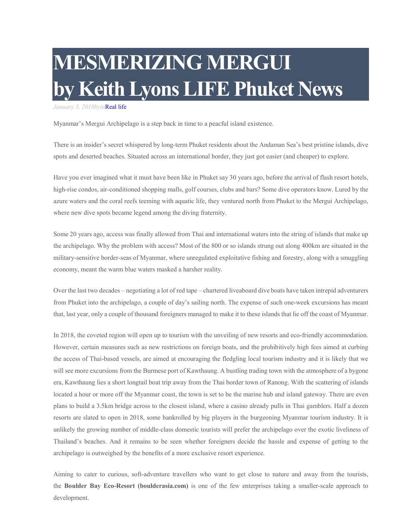## **MESMERIZING MERGUI by Keith Lyons LIFE Phuket News**

*January 5, 2018byin*Real life

Myanmar's Mergui Archipelago is a step back in time to a peacful island existence.

There is an insider's secret whispered by long-term Phuket residents about the Andaman Sea's best pristine islands, dive spots and deserted beaches. Situated across an international border, they just got easier (and cheaper) to explore.

Have you ever imagined what it must have been like in Phuket say 30 years ago, before the arrival of flash resort hotels, high-rise condos, air-conditioned shopping malls, golf courses, clubs and bars? Some dive operators know. Lured by the azure waters and the coral reefs teeming with aquatic life, they ventured north from Phuket to the Mergui Archipelago, where new dive spots became legend among the diving fraternity.

Some 20 years ago, access was finally allowed from Thai and international waters into the string of islands that make up the archipelago. Why the problem with access? Most of the 800 or so islands strung out along 400km are situated in the military-sensitive border-seas of Myanmar, where unregulated exploitative fishing and forestry, along with a smuggling economy, meant the warm blue waters masked a harsher reality.

Over the last two decades – negotiating a lot of red tape – chartered liveaboard dive boats have taken intrepid adventurers from Phuket into the archipelago, a couple of day's sailing north. The expense of such one-week excursions has meant that, last year, only a couple of thousand foreigners managed to make it to these islands that lie off the coast of Myanmar.

In 2018, the coveted region will open up to tourism with the unveiling of new resorts and eco-friendly accommodation. However, certain measures such as new restrictions on foreign boats, and the prohibitively high fees aimed at curbing the access of Thai-based vessels, are aimed at encouraging the fledgling local tourism industry and it is likely that we will see more excursions from the Burmese port of Kawthaung. A bustling trading town with the atmosphere of a bygone era, Kawthaung lies a short longtail boat trip away from the Thai border town of Ranong. With the scattering of islands located a hour or more off the Myanmar coast, the town is set to be the marine hub and island gateway. There are even plans to build a 3.5km bridge across to the closest island, where a casino already pulls in Thai gamblers. Half a dozen resorts are slated to open in 2018, some bankrolled by big players in the burgeoning Myanmar tourism industry. It is unlikely the growing number of middle-class domestic tourists will prefer the archipelago over the exotic liveliness of Thailand's beaches. And it remains to be seen whether foreigners decide the hassle and expense of getting to the archipelago is outweighed by the benefits of a more exclusive resort experience.

Aiming to cater to curious, soft-adventure travellers who want to get close to nature and away from the tourists, the **Boulder Bay Eco-Resort (boulderasia.com)** is one of the few enterprises taking a smaller-scale approach to development.